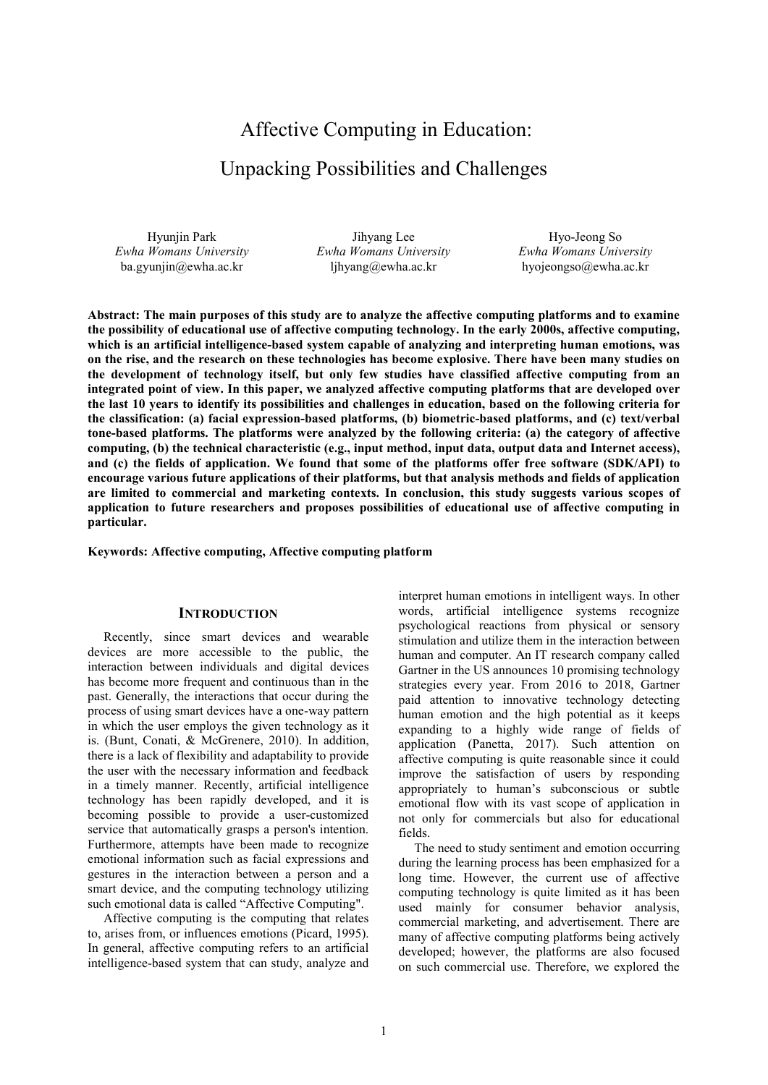# Affective Computing in Education: Unpacking Possibilities and Challenges

Hyunjin Park *Ewha Womans University* ba.gyunjin@ewha.ac.kr

Jihyang Lee *Ewha Womans University* ljhyang@ewha.ac.kr

Hyo-Jeong So *Ewha Womans University* hyojeongso@ewha.ac.kr

**Abstract: The main purposes of this study are to analyze the affective computing platforms and to examine the possibility of educational use of affective computing technology. In the early 2000s, affective computing, which is an artificial intelligence-based system capable of analyzing and interpreting human emotions, was on the rise, and the research on these technologies has become explosive. There have been many studies on the development of technology itself, but only few studies have classified affective computing from an integrated point of view. In this paper, we analyzed affective computing platforms that are developed over the last 10 years to identify its possibilities and challenges in education, based on the following criteria for the classification: (a) facial expression-based platforms, (b) biometric-based platforms, and (c) text/verbal tone-based platforms. The platforms were analyzed by the following criteria: (a) the category of affective computing, (b) the technical characteristic (e.g., input method, input data, output data and Internet access), and (c) the fields of application. We found that some of the platforms offer free software (SDK/API) to encourage various future applications of their platforms, but that analysis methods and fields of application are limited to commercial and marketing contexts. In conclusion, this study suggests various scopes of application to future researchers and proposes possibilities of educational use of affective computing in particular.** 

**Keywords: Affective computing, Affective computing platform** 

#### **INTRODUCTION**

Recently, since smart devices and wearable devices are more accessible to the public, the interaction between individuals and digital devices has become more frequent and continuous than in the past. Generally, the interactions that occur during the process of using smart devices have a one-way pattern in which the user employs the given technology as it is. (Bunt, Conati, & McGrenere, 2010). In addition, there is a lack of flexibility and adaptability to provide the user with the necessary information and feedback in a timely manner. Recently, artificial intelligence technology has been rapidly developed, and it is becoming possible to provide a user-customized service that automatically grasps a person's intention. Furthermore, attempts have been made to recognize emotional information such as facial expressions and gestures in the interaction between a person and a smart device, and the computing technology utilizing such emotional data is called "Affective Computing".

Affective computing is the computing that relates to, arises from, or influences emotions (Picard, 1995). In general, affective computing refers to an artificial intelligence-based system that can study, analyze and

interpret human emotions in intelligent ways. In other words, artificial intelligence systems recognize psychological reactions from physical or sensory stimulation and utilize them in the interaction between human and computer. An IT research company called Gartner in the US announces 10 promising technology strategies every year. From 2016 to 2018, Gartner paid attention to innovative technology detecting human emotion and the high potential as it keeps expanding to a highly wide range of fields of application (Panetta, 2017). Such attention on affective computing is quite reasonable since it could improve the satisfaction of users by responding appropriately to human's subconscious or subtle emotional flow with its vast scope of application in not only for commercials but also for educational fields.

The need to study sentiment and emotion occurring during the learning process has been emphasized for a long time. However, the current use of affective computing technology is quite limited as it has been used mainly for consumer behavior analysis, commercial marketing, and advertisement. There are many of affective computing platforms being actively developed; however, the platforms are also focused on such commercial use. Therefore, we explored the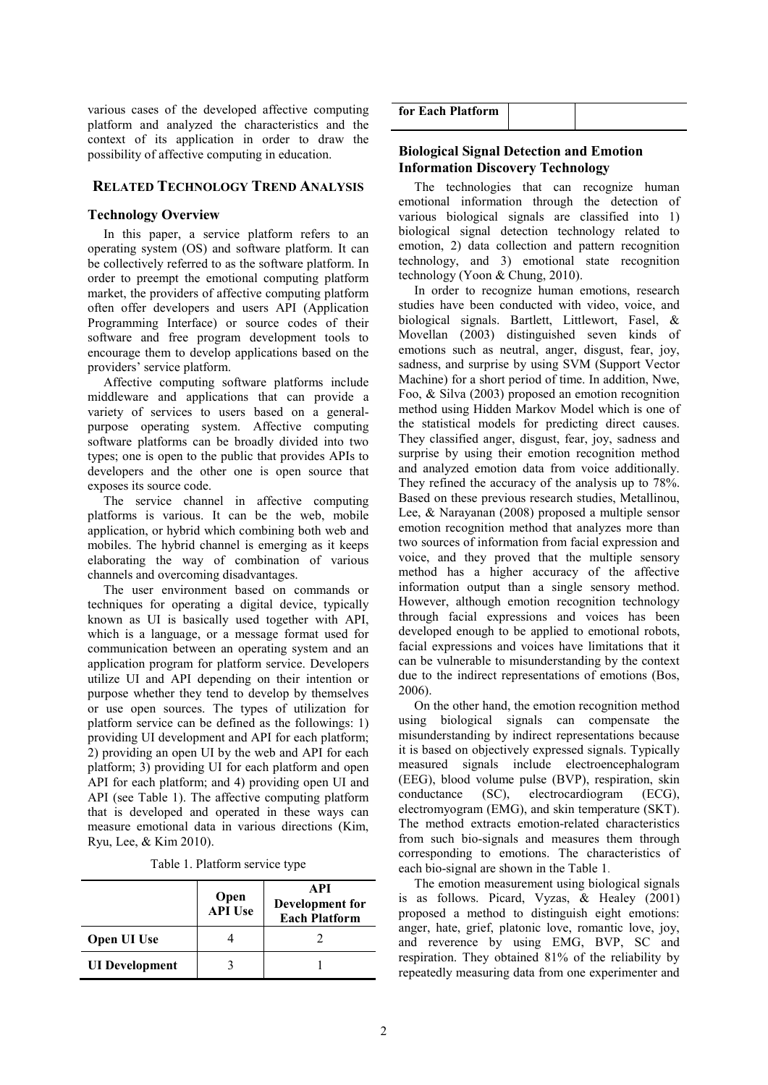various cases of the developed affective computing platform and analyzed the characteristics and the context of its application in order to draw the possibility of affective computing in education.

#### **RELATED TECHNOLOGY TREND ANALYSIS**

#### **Technology Overview**

In this paper, a service platform refers to an operating system (OS) and software platform. It can be collectively referred to as the software platform. In order to preempt the emotional computing platform market, the providers of affective computing platform often offer developers and users API (Application Programming Interface) or source codes of their software and free program development tools to encourage them to develop applications based on the providers' service platform.

Affective computing software platforms include middleware and applications that can provide a variety of services to users based on a generalpurpose operating system. Affective computing software platforms can be broadly divided into two types; one is open to the public that provides APIs to developers and the other one is open source that exposes its source code.

The service channel in affective computing platforms is various. It can be the web, mobile application, or hybrid which combining both web and mobiles. The hybrid channel is emerging as it keeps elaborating the way of combination of various channels and overcoming disadvantages.

The user environment based on commands or techniques for operating a digital device, typically known as UI is basically used together with API, which is a language, or a message format used for communication between an operating system and an application program for platform service. Developers utilize UI and API depending on their intention or purpose whether they tend to develop by themselves or use open sources. The types of utilization for platform service can be defined as the followings: 1) providing UI development and API for each platform; 2) providing an open UI by the web and API for each platform; 3) providing UI for each platform and open API for each platform; and 4) providing open UI and API (see Table 1). The affective computing platform that is developed and operated in these ways can measure emotional data in various directions (Kim, Ryu, Lee, & Kim 2010).

|  | Table 1. Platform service type |  |
|--|--------------------------------|--|

|                       | Open<br>API Use | API<br>Development for<br><b>Each Platform</b> |  |
|-----------------------|-----------------|------------------------------------------------|--|
| Open UI Use           |                 |                                                |  |
| <b>UI</b> Development |                 |                                                |  |

| for Each Platform |  |
|-------------------|--|

# **Biological Signal Detection and Emotion Information Discovery Technology**

The technologies that can recognize human emotional information through the detection of various biological signals are classified into 1) biological signal detection technology related to emotion, 2) data collection and pattern recognition technology, and 3) emotional state recognition technology (Yoon & Chung, 2010).

In order to recognize human emotions, research studies have been conducted with video, voice, and biological signals. Bartlett, Littlewort, Fasel, & Movellan (2003) distinguished seven kinds of emotions such as neutral, anger, disgust, fear, joy, sadness, and surprise by using SVM (Support Vector Machine) for a short period of time. In addition, Nwe, Foo, & Silva (2003) proposed an emotion recognition method using Hidden Markov Model which is one of the statistical models for predicting direct causes. They classified anger, disgust, fear, joy, sadness and surprise by using their emotion recognition method and analyzed emotion data from voice additionally. They refined the accuracy of the analysis up to 78%. Based on these previous research studies, Metallinou, Lee, & Narayanan (2008) proposed a multiple sensor emotion recognition method that analyzes more than two sources of information from facial expression and voice, and they proved that the multiple sensory method has a higher accuracy of the affective information output than a single sensory method. However, although emotion recognition technology through facial expressions and voices has been developed enough to be applied to emotional robots, facial expressions and voices have limitations that it can be vulnerable to misunderstanding by the context due to the indirect representations of emotions (Bos, 2006).

On the other hand, the emotion recognition method using biological signals can compensate the misunderstanding by indirect representations because it is based on objectively expressed signals. Typically measured signals include electroencephalogram (EEG), blood volume pulse (BVP), respiration, skin conductance (SC), electrocardiogram (ECG), electromyogram (EMG), and skin temperature (SKT). The method extracts emotion-related characteristics from such bio-signals and measures them through corresponding to emotions. The characteristics of each bio-signal are shown in the Table 1.

The emotion measurement using biological signals is as follows. Picard, Vyzas, & Healey (2001) proposed a method to distinguish eight emotions: anger, hate, grief, platonic love, romantic love, joy, and reverence by using EMG, BVP, SC and respiration. They obtained 81% of the reliability by repeatedly measuring data from one experimenter and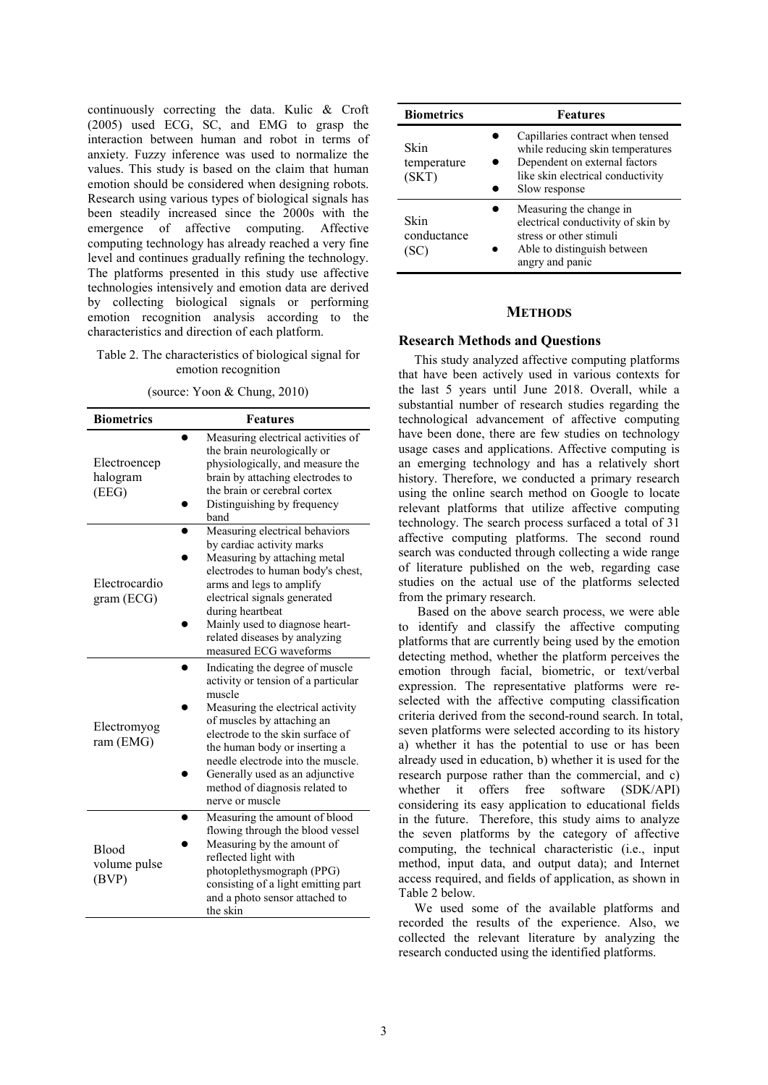continuously correcting the data. Kulic & Croft (2005) used ECG, SC, and EMG to grasp the interaction between human and robot in terms of anxiety. Fuzzy inference was used to normalize the values. This study is based on the claim that human emotion should be considered when designing robots. Research using various types of biological signals has been steadily increased since the 2000s with the emergence of affective computing. Affective computing technology has already reached a very fine level and continues gradually refining the technology. The platforms presented in this study use affective technologies intensively and emotion data are derived by collecting biological signals or performing emotion recognition analysis according to the characteristics and direction of each platform.

#### Table 2. The characteristics of biological signal for emotion recognition

(source: Yoon & Chung, 2010)

| <b>Biometrics</b>                     | <b>Features</b>                                                                                                                                                                                                                                                                                                                                       |
|---------------------------------------|-------------------------------------------------------------------------------------------------------------------------------------------------------------------------------------------------------------------------------------------------------------------------------------------------------------------------------------------------------|
| Electroencep<br>halogram<br>(EEG)     | Measuring electrical activities of<br>the brain neurologically or<br>physiologically, and measure the<br>brain by attaching electrodes to<br>the brain or cerebral cortex<br>Distinguishing by frequency<br>band                                                                                                                                      |
| Electrocardio<br>gram (ECG)           | Measuring electrical behaviors<br>by cardiac activity marks<br>Measuring by attaching metal<br>electrodes to human body's chest,<br>arms and legs to amplify<br>electrical signals generated<br>during heartbeat<br>Mainly used to diagnose heart-<br>related diseases by analyzing<br>measured ECG waveforms                                         |
| Electromyog<br>ram (EMG)              | Indicating the degree of muscle<br>activity or tension of a particular<br>muscle<br>Measuring the electrical activity<br>of muscles by attaching an<br>electrode to the skin surface of<br>the human body or inserting a<br>needle electrode into the muscle.<br>Generally used as an adjunctive<br>method of diagnosis related to<br>nerve or muscle |
| <b>Blood</b><br>volume pulse<br>(BVP) | Measuring the amount of blood<br>flowing through the blood vessel<br>Measuring by the amount of<br>reflected light with<br>photoplethysmograph (PPG)<br>consisting of a light emitting part<br>and a photo sensor attached to<br>the skin                                                                                                             |

| <b>Biometrics</b>            | <b>Features</b>                                                                                                                                             |
|------------------------------|-------------------------------------------------------------------------------------------------------------------------------------------------------------|
| Skin<br>temperature<br>(SKT) | Capillaries contract when tensed<br>while reducing skin temperatures<br>Dependent on external factors<br>like skin electrical conductivity<br>Slow response |
| Skin<br>conductance          | Measuring the change in<br>electrical conductivity of skin by<br>stress or other stimuli<br>Able to distinguish between<br>angry and panic                  |

## **METHODS**

# **Research Methods and Questions**

This study analyzed affective computing platforms that have been actively used in various contexts for the last 5 years until June 2018. Overall, while a substantial number of research studies regarding the technological advancement of affective computing have been done, there are few studies on technology usage cases and applications. Affective computing is an emerging technology and has a relatively short history. Therefore, we conducted a primary research using the online search method on Google to locate relevant platforms that utilize affective computing technology. The search process surfaced a total of 31 affective computing platforms. The second round search was conducted through collecting a wide range of literature published on the web, regarding case studies on the actual use of the platforms selected from the primary research.

 Based on the above search process, we were able to identify and classify the affective computing platforms that are currently being used by the emotion detecting method, whether the platform perceives the emotion through facial, biometric, or text/verbal expression. The representative platforms were reselected with the affective computing classification criteria derived from the second-round search. In total, seven platforms were selected according to its history a) whether it has the potential to use or has been already used in education, b) whether it is used for the research purpose rather than the commercial, and c) whether it offers free software (SDK/API) considering its easy application to educational fields in the future. Therefore, this study aims to analyze the seven platforms by the category of affective computing, the technical characteristic (i.e., input method, input data, and output data); and Internet access required, and fields of application, as shown in Table 2 below.

We used some of the available platforms and recorded the results of the experience. Also, we collected the relevant literature by analyzing the research conducted using the identified platforms.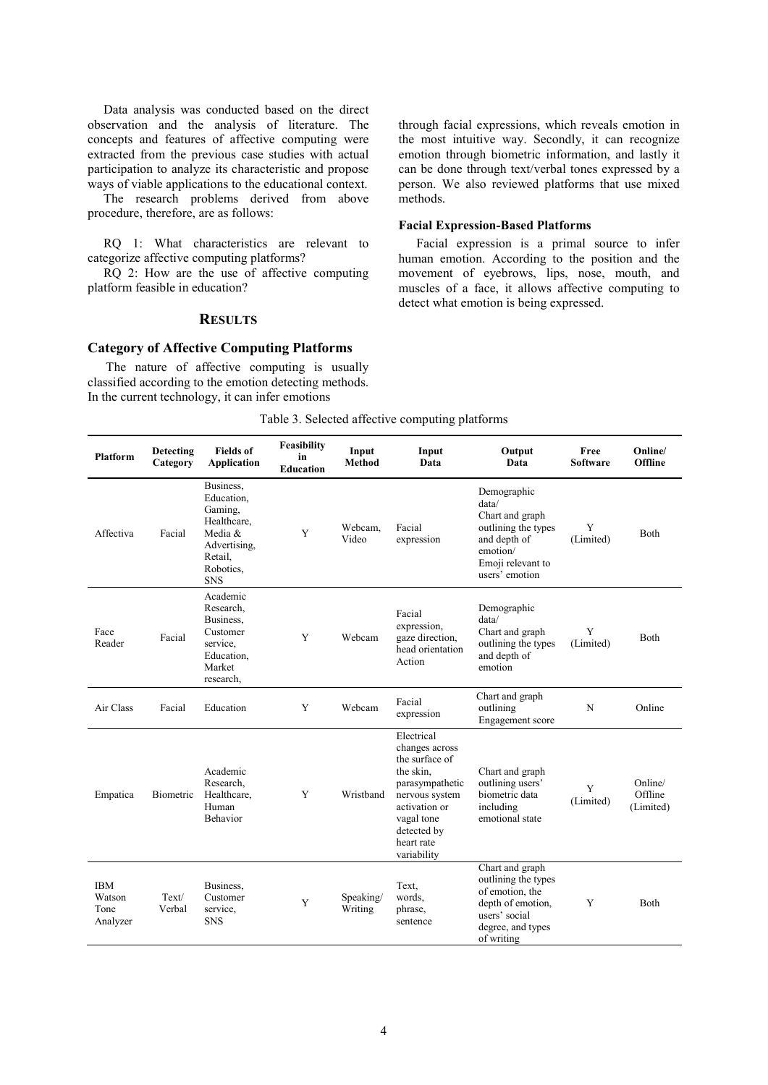Data analysis was conducted based on the direct observation and the analysis of literature. The concepts and features of affective computing were extracted from the previous case studies with actual participation to analyze its characteristic and propose ways of viable applications to the educational context.

The research problems derived from above procedure, therefore, are as follows:

RQ 1: What characteristics are relevant to categorize affective computing platforms?

RQ 2: How are the use of affective computing platform feasible in education?

# **RESULTS**

# **Category of Affective Computing Platforms**

The nature of affective computing is usually classified according to the emotion detecting methods. In the current technology, it can infer emotions

through facial expressions, which reveals emotion in the most intuitive way. Secondly, it can recognize emotion through biometric information, and lastly it can be done through text/verbal tones expressed by a person. We also reviewed platforms that use mixed methods.

#### **Facial Expression-Based Platforms**

Facial expression is a primal source to infer human emotion. According to the position and the movement of eyebrows, lips, nose, mouth, and muscles of a face, it allows affective computing to detect what emotion is being expressed.

| <b>Platform</b>                          | Detecting<br>Category | <b>Fields</b> of<br><b>Application</b>                                                                             | Feasibility<br>in<br><b>Education</b> | Input<br><b>Method</b> | Input<br>Data                                                                                                                                                               | Output<br>Data                                                                                                                     | Free<br>Software | Online/<br>Offline              |
|------------------------------------------|-----------------------|--------------------------------------------------------------------------------------------------------------------|---------------------------------------|------------------------|-----------------------------------------------------------------------------------------------------------------------------------------------------------------------------|------------------------------------------------------------------------------------------------------------------------------------|------------------|---------------------------------|
| Affectiva                                | Facial                | Business,<br>Education,<br>Gaming,<br>Healthcare.<br>Media &<br>Advertising,<br>Retail,<br>Robotics,<br><b>SNS</b> | Y                                     | Webcam.<br>Video       | Facial<br>expression                                                                                                                                                        | Demographic<br>data/<br>Chart and graph<br>outlining the types<br>and depth of<br>emotion/<br>Emoji relevant to<br>users' emotion  | Y<br>(Limited)   | <b>Both</b>                     |
| Face<br>Reader                           | Facial                | Academic<br>Research,<br>Business.<br>Customer<br>service,<br>Education,<br>Market<br>research,                    | Y                                     | Webcam                 | Facial<br>expression,<br>gaze direction,<br>head orientation<br>Action                                                                                                      | Demographic<br>data/<br>Chart and graph<br>outlining the types<br>and depth of<br>emotion                                          | Y<br>(Limited)   | Both                            |
| Air Class                                | Facial                | Education                                                                                                          | Y                                     | Webcam                 | Facial<br>expression                                                                                                                                                        | Chart and graph<br>outlining<br>Engagement score                                                                                   | $\mathbf N$      | Online                          |
| Empatica                                 | Biometric             | Academic<br>Research,<br>Healthcare.<br>Human<br>Behavior                                                          | Y                                     | Wristband              | Electrical<br>changes across<br>the surface of<br>the skin.<br>parasympathetic<br>nervous system<br>activation or<br>vagal tone<br>detected by<br>heart rate<br>variability | Chart and graph<br>outlining users'<br>biometric data<br>including<br>emotional state                                              | Y<br>(Limited)   | Online/<br>Offline<br>(Limited) |
| <b>IBM</b><br>Watson<br>Tone<br>Analyzer | Text/<br>Verbal       | Business,<br>Customer<br>service,<br><b>SNS</b>                                                                    | Y                                     | Speaking/<br>Writing   | Text,<br>words,<br>phrase,<br>sentence                                                                                                                                      | Chart and graph<br>outlining the types<br>of emotion, the<br>depth of emotion,<br>users' social<br>degree, and types<br>of writing | Y                | Both                            |

#### Table 3. Selected affective computing platforms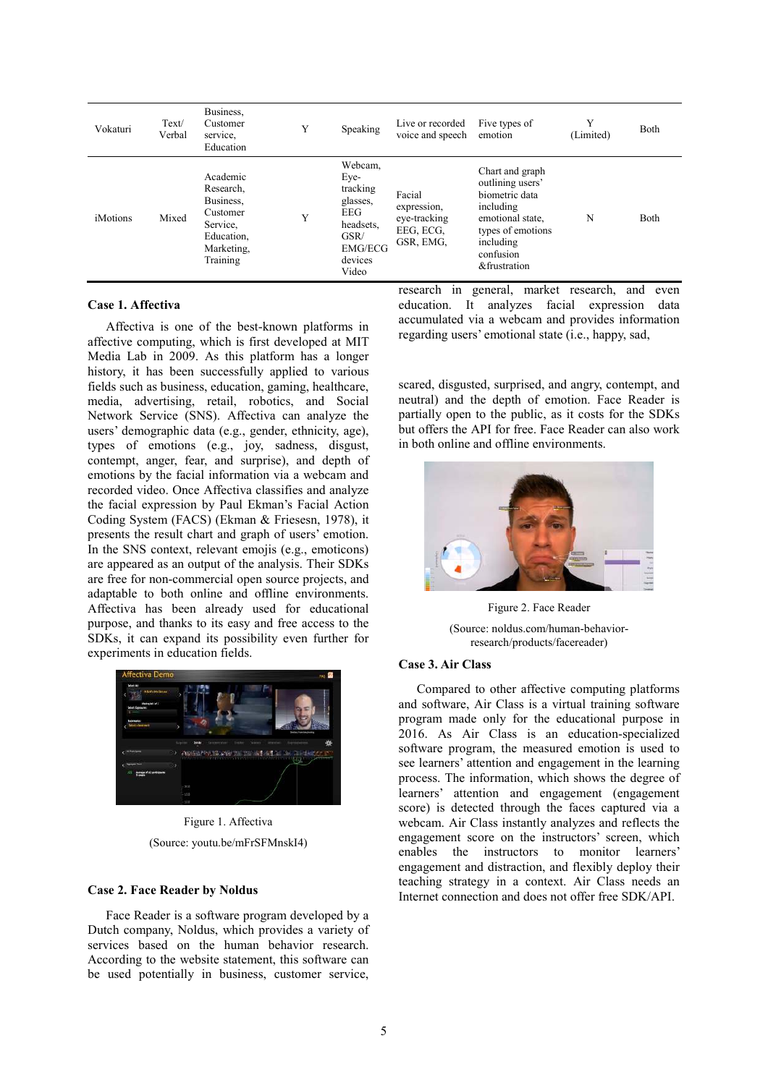| Vokaturi        | Text/<br>Verbal | Business,<br>Customer<br>service.<br>Education                                                     | Y | Speaking                                                                                                         | Live or recorded<br>voice and speech                            | Five types of<br>emotion                                                                                                                              | Y<br>(Limited) | Both         |
|-----------------|-----------------|----------------------------------------------------------------------------------------------------|---|------------------------------------------------------------------------------------------------------------------|-----------------------------------------------------------------|-------------------------------------------------------------------------------------------------------------------------------------------------------|----------------|--------------|
| <i>iMotions</i> | Mixed           | Academic<br>Research,<br>Business.<br>Customer<br>Service,<br>Education.<br>Marketing,<br>Training | Y | Webcam,<br>Eye-<br>tracking<br>glasses,<br><b>EEG</b><br>headsets,<br>GSR/<br><b>EMG/ECG</b><br>devices<br>Video | Facial<br>expression,<br>eye-tracking<br>EEG, ECG,<br>GSR, EMG, | Chart and graph<br>outlining users'<br>biometric data<br>including<br>emotional state,<br>types of emotions<br>including<br>confusion<br>&frustration | N              | <b>B</b> oth |

# **Case 1. Affectiva**

Affectiva is one of the best-known platforms in affective computing, which is first developed at MIT Media Lab in 2009. As this platform has a longer history, it has been successfully applied to various fields such as business, education, gaming, healthcare, media, advertising, retail, robotics, and Social Network Service (SNS). Affectiva can analyze the users' demographic data (e.g., gender, ethnicity, age), types of emotions (e.g., joy, sadness, disgust, contempt, anger, fear, and surprise), and depth of emotions by the facial information via a webcam and recorded video. Once Affectiva classifies and analyze the facial expression by Paul Ekman's Facial Action Coding System (FACS) (Ekman & Friesesn, 1978), it presents the result chart and graph of users' emotion. In the SNS context, relevant emojis (e.g., emoticons) are appeared as an output of the analysis. Their SDKs are free for non-commercial open source projects, and adaptable to both online and offline environments. Affectiva has been already used for educational purpose, and thanks to its easy and free access to the SDKs, it can expand its possibility even further for experiments in education fields.



Figure 1. Affectiva (Source: youtu.be/mFrSFMnskI4)

#### **Case 2. Face Reader by Noldus**

Face Reader is a software program developed by a Dutch company, Noldus, which provides a variety of services based on the human behavior research. According to the website statement, this software can be used potentially in business, customer service, research in general, market research, and even education. It analyzes facial expression data accumulated via a webcam and provides information regarding users' emotional state (i.e., happy, sad,

scared, disgusted, surprised, and angry, contempt, and neutral) and the depth of emotion. Face Reader is partially open to the public, as it costs for the SDKs but offers the API for free. Face Reader can also work in both online and offline environments.



Figure 2. Face Reader

(Source: noldus.com/human-behaviorresearch/products/facereader)

#### **Case 3. Air Class**

Compared to other affective computing platforms and software, Air Class is a virtual training software program made only for the educational purpose in 2016. As Air Class is an education-specialized software program, the measured emotion is used to see learners' attention and engagement in the learning process. The information, which shows the degree of learners' attention and engagement (engagement score) is detected through the faces captured via a webcam. Air Class instantly analyzes and reflects the engagement score on the instructors' screen, which enables the instructors to monitor learners' engagement and distraction, and flexibly deploy their teaching strategy in a context. Air Class needs an Internet connection and does not offer free SDK/API.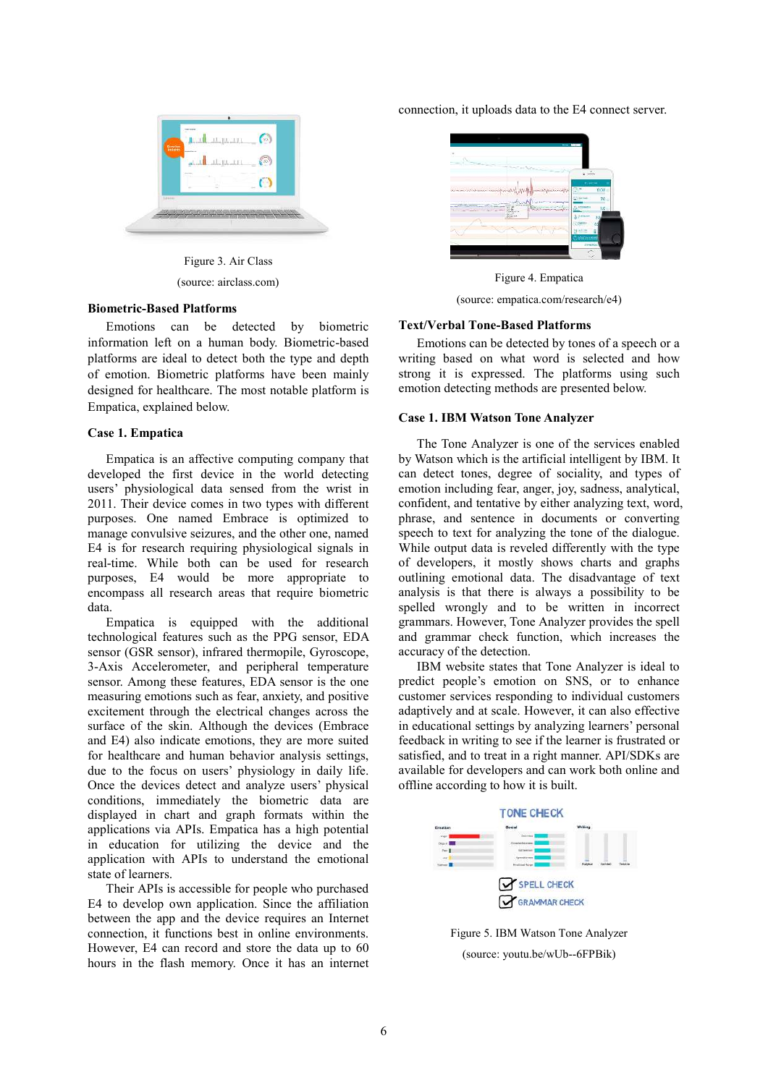

Figure 3. Air Class (source: airclass.com)

#### **Biometric-Based Platforms**

Emotions can be detected by biometric information left on a human body. Biometric-based platforms are ideal to detect both the type and depth of emotion. Biometric platforms have been mainly designed for healthcare. The most notable platform is Empatica, explained below.

#### **Case 1. Empatica**

Empatica is an affective computing company that developed the first device in the world detecting users' physiological data sensed from the wrist in 2011. Their device comes in two types with different purposes. One named Embrace is optimized to manage convulsive seizures, and the other one, named E4 is for research requiring physiological signals in real-time. While both can be used for research purposes, E4 would be more appropriate to encompass all research areas that require biometric data.

Empatica is equipped with the additional technological features such as the PPG sensor, EDA sensor (GSR sensor), infrared thermopile, Gyroscope, 3-Axis Accelerometer, and peripheral temperature sensor. Among these features, EDA sensor is the one measuring emotions such as fear, anxiety, and positive excitement through the electrical changes across the surface of the skin. Although the devices (Embrace and E4) also indicate emotions, they are more suited for healthcare and human behavior analysis settings, due to the focus on users' physiology in daily life. Once the devices detect and analyze users' physical conditions, immediately the biometric data are displayed in chart and graph formats within the applications via APIs. Empatica has a high potential in education for utilizing the device and the application with APIs to understand the emotional state of learners.

Their APIs is accessible for people who purchased E4 to develop own application. Since the affiliation between the app and the device requires an Internet connection, it functions best in online environments. However, E4 can record and store the data up to 60 hours in the flash memory. Once it has an internet connection, it uploads data to the E4 connect server.



Figure 4. Empatica

(source: empatica.com/research/e4)

#### **Text/Verbal Tone-Based Platforms**

Emotions can be detected by tones of a speech or a writing based on what word is selected and how strong it is expressed. The platforms using such emotion detecting methods are presented below.

### **Case 1. IBM Watson Tone Analyzer**

The Tone Analyzer is one of the services enabled by Watson which is the artificial intelligent by IBM. It can detect tones, degree of sociality, and types of emotion including fear, anger, joy, sadness, analytical, confident, and tentative by either analyzing text, word, phrase, and sentence in documents or converting speech to text for analyzing the tone of the dialogue. While output data is reveled differently with the type of developers, it mostly shows charts and graphs outlining emotional data. The disadvantage of text analysis is that there is always a possibility to be spelled wrongly and to be written in incorrect grammars. However, Tone Analyzer provides the spell and grammar check function, which increases the accuracy of the detection.

IBM website states that Tone Analyzer is ideal to predict people's emotion on SNS, or to enhance customer services responding to individual customers adaptively and at scale. However, it can also effective in educational settings by analyzing learners' personal feedback in writing to see if the learner is frustrated or satisfied, and to treat in a right manner. API/SDKs are available for developers and can work both online and offline according to how it is built.



Figure 5. IBM Watson Tone Analyzer (source: youtu.be/wUb--6FPBik)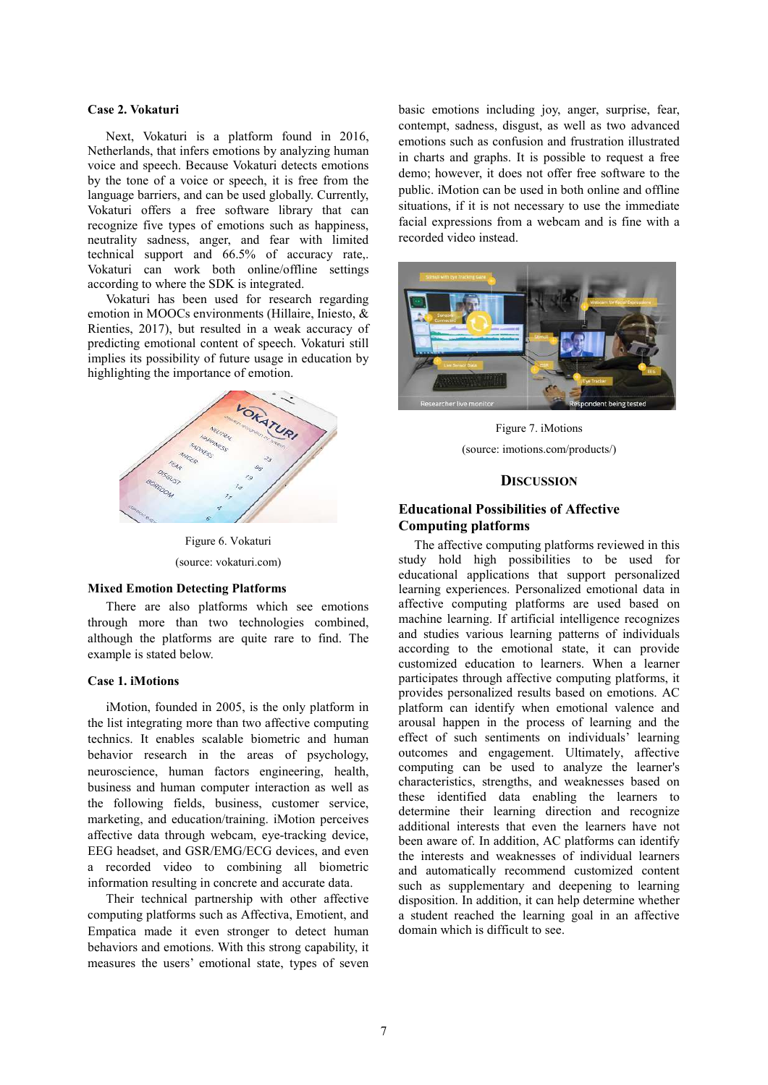## **Case 2. Vokaturi**

Next, Vokaturi is a platform found in 2016, Netherlands, that infers emotions by analyzing human voice and speech. Because Vokaturi detects emotions by the tone of a voice or speech, it is free from the language barriers, and can be used globally. Currently, Vokaturi offers a free software library that can recognize five types of emotions such as happiness, neutrality sadness, anger, and fear with limited technical support and 66.5% of accuracy rate,. Vokaturi can work both online/offline settings according to where the SDK is integrated.

Vokaturi has been used for research regarding emotion in MOOCs environments (Hillaire, Iniesto, & Rienties, 2017), but resulted in a weak accuracy of predicting emotional content of speech. Vokaturi still implies its possibility of future usage in education by highlighting the importance of emotion.



Figure 6. Vokaturi (source: vokaturi.com)

#### **Mixed Emotion Detecting Platforms**

There are also platforms which see emotions through more than two technologies combined, although the platforms are quite rare to find. The example is stated below.

#### **Case 1. iMotions**

iMotion, founded in 2005, is the only platform in the list integrating more than two affective computing technics. It enables scalable biometric and human behavior research in the areas of psychology, neuroscience, human factors engineering, health, business and human computer interaction as well as the following fields, business, customer service, marketing, and education/training. iMotion perceives affective data through webcam, eye-tracking device, EEG headset, and GSR/EMG/ECG devices, and even a recorded video to combining all biometric information resulting in concrete and accurate data.

Their technical partnership with other affective computing platforms such as Affectiva, Emotient, and Empatica made it even stronger to detect human behaviors and emotions. With this strong capability, it measures the users' emotional state, types of seven

basic emotions including joy, anger, surprise, fear, contempt, sadness, disgust, as well as two advanced emotions such as confusion and frustration illustrated in charts and graphs. It is possible to request a free demo; however, it does not offer free software to the public. iMotion can be used in both online and offline situations, if it is not necessary to use the immediate facial expressions from a webcam and is fine with a recorded video instead.



Figure 7. iMotions (source: imotions.com/products/)

#### **DISCUSSION**

# **Educational Possibilities of Affective Computing platforms**

The affective computing platforms reviewed in this study hold high possibilities to be used for educational applications that support personalized learning experiences. Personalized emotional data in affective computing platforms are used based on machine learning. If artificial intelligence recognizes and studies various learning patterns of individuals according to the emotional state, it can provide customized education to learners. When a learner participates through affective computing platforms, it provides personalized results based on emotions. AC platform can identify when emotional valence and arousal happen in the process of learning and the effect of such sentiments on individuals' learning outcomes and engagement. Ultimately, affective computing can be used to analyze the learner's characteristics, strengths, and weaknesses based on these identified data enabling the learners to determine their learning direction and recognize additional interests that even the learners have not been aware of. In addition, AC platforms can identify the interests and weaknesses of individual learners and automatically recommend customized content such as supplementary and deepening to learning disposition. In addition, it can help determine whether a student reached the learning goal in an affective domain which is difficult to see.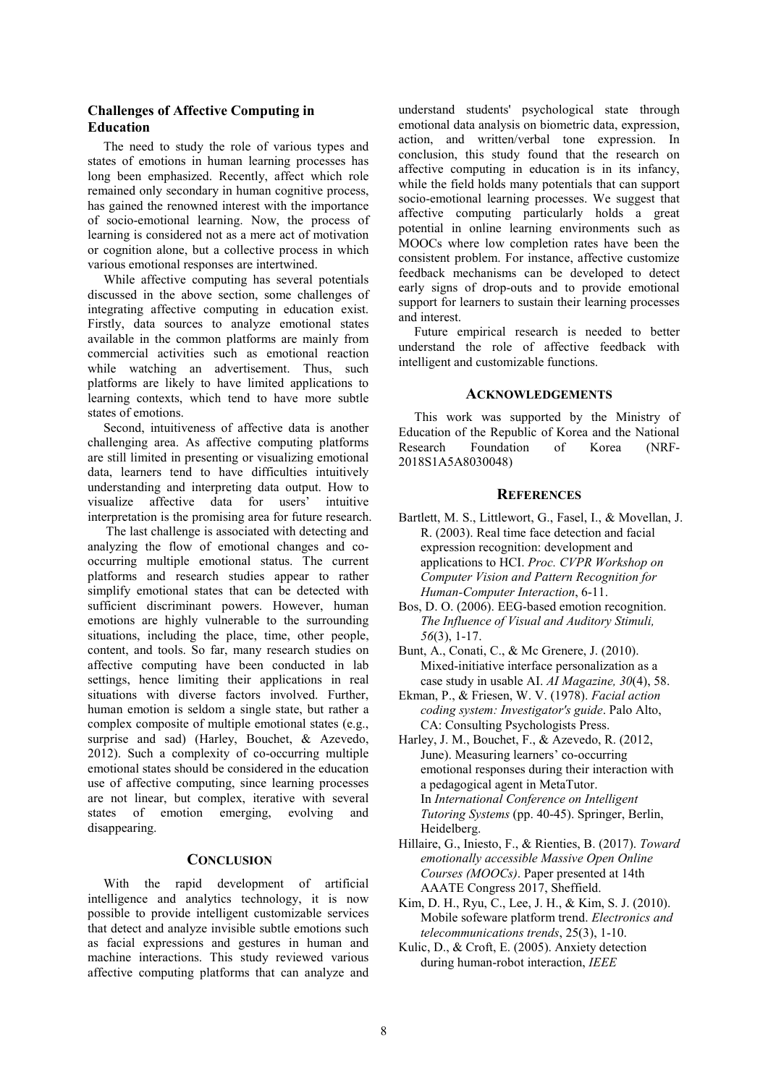# **Challenges of Affective Computing in Education**

The need to study the role of various types and states of emotions in human learning processes has long been emphasized. Recently, affect which role remained only secondary in human cognitive process, has gained the renowned interest with the importance of socio-emotional learning. Now, the process of learning is considered not as a mere act of motivation or cognition alone, but a collective process in which various emotional responses are intertwined.

While affective computing has several potentials discussed in the above section, some challenges of integrating affective computing in education exist. Firstly, data sources to analyze emotional states available in the common platforms are mainly from commercial activities such as emotional reaction while watching an advertisement. Thus, such platforms are likely to have limited applications to learning contexts, which tend to have more subtle states of emotions.

Second, intuitiveness of affective data is another challenging area. As affective computing platforms are still limited in presenting or visualizing emotional data, learners tend to have difficulties intuitively understanding and interpreting data output. How to visualize affective data for users' intuitive interpretation is the promising area for future research.

The last challenge is associated with detecting and analyzing the flow of emotional changes and cooccurring multiple emotional status. The current platforms and research studies appear to rather simplify emotional states that can be detected with sufficient discriminant powers. However, human emotions are highly vulnerable to the surrounding situations, including the place, time, other people, content, and tools. So far, many research studies on affective computing have been conducted in lab settings, hence limiting their applications in real situations with diverse factors involved. Further, human emotion is seldom a single state, but rather a complex composite of multiple emotional states (e.g., surprise and sad) (Harley, Bouchet, & Azevedo, 2012). Such a complexity of co-occurring multiple emotional states should be considered in the education use of affective computing, since learning processes are not linear, but complex, iterative with several states of emotion emerging, evolving and disappearing.

## **CONCLUSION**

With the rapid development of artificial intelligence and analytics technology, it is now possible to provide intelligent customizable services that detect and analyze invisible subtle emotions such as facial expressions and gestures in human and machine interactions. This study reviewed various affective computing platforms that can analyze and

understand students' psychological state through emotional data analysis on biometric data, expression, action, and written/verbal tone expression. In conclusion, this study found that the research on affective computing in education is in its infancy, while the field holds many potentials that can support socio-emotional learning processes. We suggest that affective computing particularly holds a great potential in online learning environments such as MOOCs where low completion rates have been the consistent problem. For instance, affective customize feedback mechanisms can be developed to detect early signs of drop-outs and to provide emotional support for learners to sustain their learning processes and interest.

Future empirical research is needed to better understand the role of affective feedback with intelligent and customizable functions.

#### **ACKNOWLEDGEMENTS**

This work was supported by the Ministry of Education of the Republic of Korea and the National Research Foundation of Korea (NRF-2018S1A5A8030048)

#### **REFERENCES**

- Bartlett, M. S., Littlewort, G., Fasel, I., & Movellan, J. R. (2003). Real time face detection and facial expression recognition: development and applications to HCI. *Proc. CVPR Workshop on Computer Vision and Pattern Recognition for Human-Computer Interaction*, 6-11.
- Bos, D. O. (2006). EEG-based emotion recognition. *The Influence of Visual and Auditory Stimuli, 56*(3), 1-17.
- Bunt, A., Conati, C., & Mc Grenere, J. (2010). Mixed-initiative interface personalization as a case study in usable AI. *AI Magazine, 30*(4), 58.
- Ekman, P., & Friesen, W. V. (1978). *Facial action coding system: Investigator's guide*. Palo Alto, CA: Consulting Psychologists Press.
- Harley, J. M., Bouchet, F., & Azevedo, R. (2012, June). Measuring learners' co-occurring emotional responses during their interaction with a pedagogical agent in MetaTutor. In *International Conference on Intelligent Tutoring Systems* (pp. 40-45). Springer, Berlin, Heidelberg.
- Hillaire, G., Iniesto, F., & Rienties, B. (2017). *Toward emotionally accessible Massive Open Online Courses (MOOCs)*. Paper presented at 14th AAATE Congress 2017, Sheffield.
- Kim, D. H., Ryu, C., Lee, J. H., & Kim, S. J. (2010). Mobile sofeware platform trend. *Electronics and telecommunications trends*, 25(3), 1-10.
- Kulic, D., & Croft, E. (2005). Anxiety detection during human-robot interaction, *IEEE*